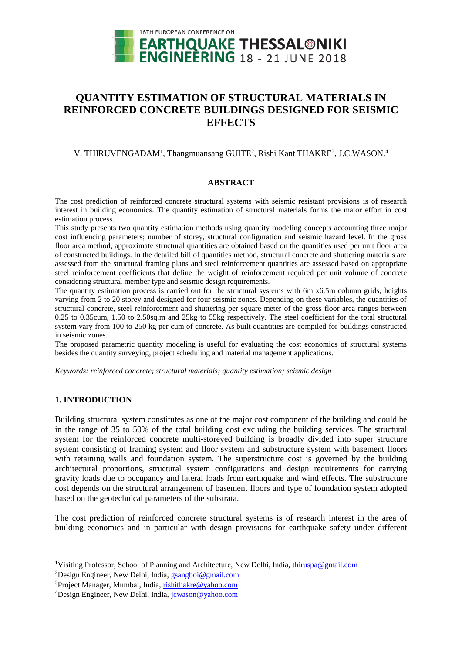

# **QUANTITY ESTIMATION OF STRUCTURAL MATERIALS IN REINFORCED CONCRETE BUILDINGS DESIGNED FOR SEISMIC EFFECTS**

# V. THIRUVENGADAM<sup>1</sup>, Thangmuansang GUITE<sup>2</sup>, Rishi Kant THAKRE<sup>3</sup>, J.C.WASON.<sup>4</sup>

#### **ABSTRACT**

The cost prediction of reinforced concrete structural systems with seismic resistant provisions is of research interest in building economics. The quantity estimation of structural materials forms the major effort in cost estimation process.

This study presents two quantity estimation methods using quantity modeling concepts accounting three major cost influencing parameters; number of storey, structural configuration and seismic hazard level. In the gross floor area method, approximate structural quantities are obtained based on the quantities used per unit floor area of constructed buildings. In the detailed bill of quantities method, structural concrete and shuttering materials are assessed from the structural framing plans and steel reinforcement quantities are assessed based on appropriate steel reinforcement coefficients that define the weight of reinforcement required per unit volume of concrete considering structural member type and seismic design requirements.

The quantity estimation process is carried out for the structural systems with 6m x6.5m column grids, heights varying from 2 to 20 storey and designed for four seismic zones. Depending on these variables, the quantities of structural concrete, steel reinforcement and shuttering per square meter of the gross floor area ranges between 0.25 to 0.35cum, 1.50 to 2.50sq.m and 25kg to 55kg respectively. The steel coefficient for the total structural system vary from 100 to 250 kg per cum of concrete. As built quantities are compiled for buildings constructed in seismic zones.

The proposed parametric quantity modeling is useful for evaluating the cost economics of structural systems besides the quantity surveying, project scheduling and material management applications.

*Keywords: reinforced concrete; structural materials; quantity estimation; seismic design*

#### **1. INTRODUCTION**

l

Building structural system constitutes as one of the major cost component of the building and could be in the range of 35 to 50% of the total building cost excluding the building services. The structural system for the reinforced concrete multi-storeyed building is broadly divided into super structure system consisting of framing system and floor system and substructure system with basement floors with retaining walls and foundation system. The superstructure cost is governed by the building architectural proportions, structural system configurations and design requirements for carrying gravity loads due to occupancy and lateral loads from earthquake and wind effects. The substructure cost depends on the structural arrangement of basement floors and type of foundation system adopted based on the geotechnical parameters of the substrata.

The cost prediction of reinforced concrete structural systems is of research interest in the area of building economics and in particular with design provisions for earthquake safety under different

<sup>&</sup>lt;sup>1</sup>Visiting Professor, School of Planning and Architecture, New Delhi, India, [thiruspa@gmail.com](mailto:emailaddress1@canterbury.ac.nz)

<sup>&</sup>lt;sup>2</sup>Design Engineer, New Delhi, India,  $\frac{1}{2}$  [gsangboi@gmail.com](mailto:emailaddress@canterbury.ac.nz)

<sup>&</sup>lt;sup>3</sup>Project Manager, Mumbai, India, rishithakre@yahoo.com

<sup>&</sup>lt;sup>4</sup>Design Engineer, New Delhi, India, journal of vahoo.com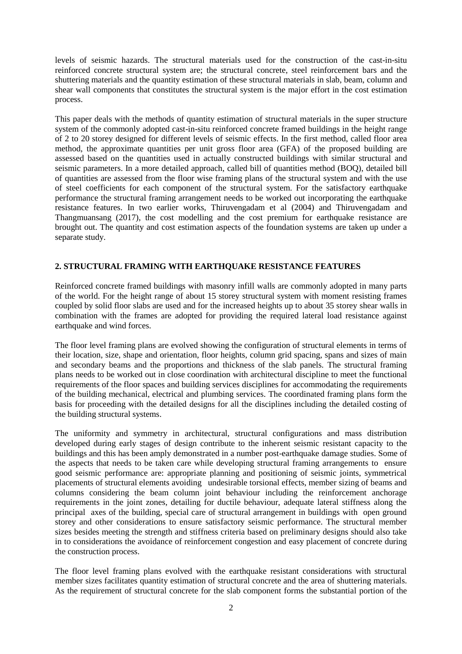levels of seismic hazards. The structural materials used for the construction of the cast-in-situ reinforced concrete structural system are; the structural concrete, steel reinforcement bars and the shuttering materials and the quantity estimation of these structural materials in slab, beam, column and shear wall components that constitutes the structural system is the major effort in the cost estimation process.

This paper deals with the methods of quantity estimation of structural materials in the super structure system of the commonly adopted cast-in-situ reinforced concrete framed buildings in the height range of 2 to 20 storey designed for different levels of seismic effects. In the first method, called floor area method, the approximate quantities per unit gross floor area (GFA) of the proposed building are assessed based on the quantities used in actually constructed buildings with similar structural and seismic parameters. In a more detailed approach, called bill of quantities method (BOQ), detailed bill of quantities are assessed from the floor wise framing plans of the structural system and with the use of steel coefficients for each component of the structural system. For the satisfactory earthquake performance the structural framing arrangement needs to be worked out incorporating the earthquake resistance features. In two earlier works, Thiruvengadam et al (2004) and Thiruvengadam and Thangmuansang (2017), the cost modelling and the cost premium for earthquake resistance are brought out. The quantity and cost estimation aspects of the foundation systems are taken up under a separate study.

## **2. STRUCTURAL FRAMING WITH EARTHQUAKE RESISTANCE FEATURES**

Reinforced concrete framed buildings with masonry infill walls are commonly adopted in many parts of the world. For the height range of about 15 storey structural system with moment resisting frames coupled by solid floor slabs are used and for the increased heights up to about 35 storey shear walls in combination with the frames are adopted for providing the required lateral load resistance against earthquake and wind forces.

The floor level framing plans are evolved showing the configuration of structural elements in terms of their location, size, shape and orientation, floor heights, column grid spacing, spans and sizes of main and secondary beams and the proportions and thickness of the slab panels. The structural framing plans needs to be worked out in close coordination with architectural discipline to meet the functional requirements of the floor spaces and building services disciplines for accommodating the requirements of the building mechanical, electrical and plumbing services. The coordinated framing plans form the basis for proceeding with the detailed designs for all the disciplines including the detailed costing of the building structural systems.

The uniformity and symmetry in architectural, structural configurations and mass distribution developed during early stages of design contribute to the inherent seismic resistant capacity to the buildings and this has been amply demonstrated in a number post-earthquake damage studies. Some of the aspects that needs to be taken care while developing structural framing arrangements to ensure good seismic performance are: appropriate planning and positioning of seismic joints, symmetrical placements of structural elements avoiding undesirable torsional effects, member sizing of beams and columns considering the beam column joint behaviour including the reinforcement anchorage requirements in the joint zones, detailing for ductile behaviour, adequate lateral stiffness along the principal axes of the building, special care of structural arrangement in buildings with open ground storey and other considerations to ensure satisfactory seismic performance. The structural member sizes besides meeting the strength and stiffness criteria based on preliminary designs should also take in to considerations the avoidance of reinforcement congestion and easy placement of concrete during the construction process.

The floor level framing plans evolved with the earthquake resistant considerations with structural member sizes facilitates quantity estimation of structural concrete and the area of shuttering materials. As the requirement of structural concrete for the slab component forms the substantial portion of the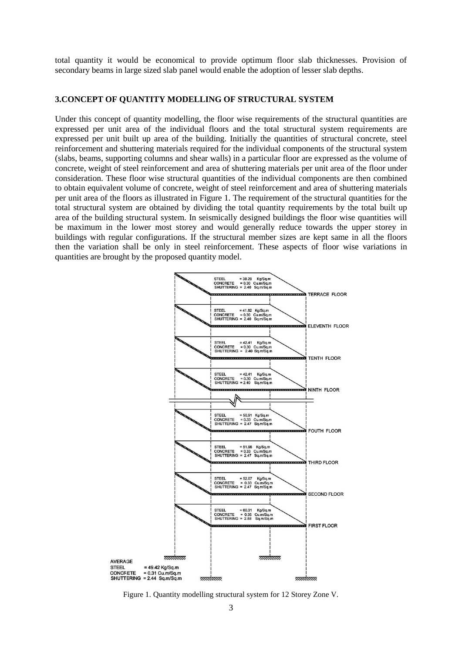total quantity it would be economical to provide optimum floor slab thicknesses. Provision of secondary beams in large sized slab panel would enable the adoption of lesser slab depths.

#### **3.CONCEPT OF QUANTITY MODELLING OF STRUCTURAL SYSTEM**

Under this concept of quantity modelling, the floor wise requirements of the structural quantities are expressed per unit area of the individual floors and the total structural system requirements are expressed per unit built up area of the building. Initially the quantities of structural concrete, steel reinforcement and shuttering materials required for the individual components of the structural system (slabs, beams, supporting columns and shear walls) in a particular floor are expressed as the volume of concrete, weight of steel reinforcement and area of shuttering materials per unit area of the floor under consideration. These floor wise structural quantities of the individual components are then combined to obtain equivalent volume of concrete, weight of steel reinforcement and area of shuttering materials per unit area of the floors as illustrated in Figure 1. The requirement of the structural quantities for the total structural system are obtained by dividing the total quantity requirements by the total built up area of the building structural system. In seismically designed buildings the floor wise quantities will be maximum in the lower most storey and would generally reduce towards the upper storey in buildings with regular configurations. If the structural member sizes are kept same in all the floors then the variation shall be only in steel reinforcement. These aspects of floor wise variations in quantities are brought by the proposed quantity model.



Figure 1. Quantity modelling structural system for 12 Storey Zone V.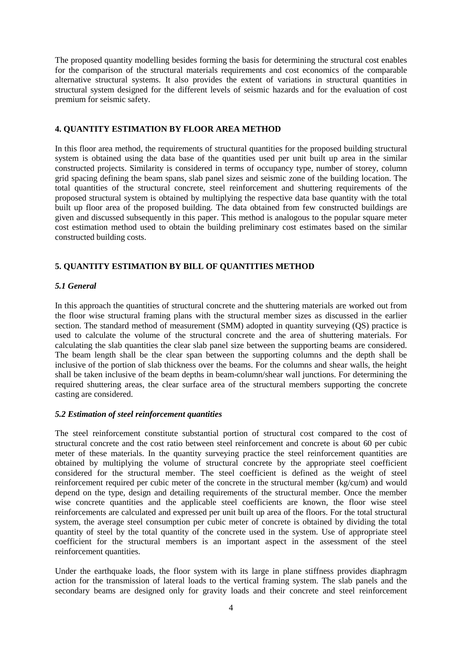The proposed quantity modelling besides forming the basis for determining the structural cost enables for the comparison of the structural materials requirements and cost economics of the comparable alternative structural systems. It also provides the extent of variations in structural quantities in structural system designed for the different levels of seismic hazards and for the evaluation of cost premium for seismic safety.

#### **4. QUANTITY ESTIMATION BY FLOOR AREA METHOD**

In this floor area method, the requirements of structural quantities for the proposed building structural system is obtained using the data base of the quantities used per unit built up area in the similar constructed projects. Similarity is considered in terms of occupancy type, number of storey, column grid spacing defining the beam spans, slab panel sizes and seismic zone of the building location. The total quantities of the structural concrete, steel reinforcement and shuttering requirements of the proposed structural system is obtained by multiplying the respective data base quantity with the total built up floor area of the proposed building. The data obtained from few constructed buildings are given and discussed subsequently in this paper. This method is analogous to the popular square meter cost estimation method used to obtain the building preliminary cost estimates based on the similar constructed building costs.

# **5. QUANTITY ESTIMATION BY BILL OF QUANTITIES METHOD**

## *5.1 General*

In this approach the quantities of structural concrete and the shuttering materials are worked out from the floor wise structural framing plans with the structural member sizes as discussed in the earlier section. The standard method of measurement (SMM) adopted in quantity surveying (QS) practice is used to calculate the volume of the structural concrete and the area of shuttering materials. For calculating the slab quantities the clear slab panel size between the supporting beams are considered. The beam length shall be the clear span between the supporting columns and the depth shall be inclusive of the portion of slab thickness over the beams. For the columns and shear walls, the height shall be taken inclusive of the beam depths in beam-column/shear wall junctions. For determining the required shuttering areas, the clear surface area of the structural members supporting the concrete casting are considered.

#### *5.2 Estimation of steel reinforcement quantities*

The steel reinforcement constitute substantial portion of structural cost compared to the cost of structural concrete and the cost ratio between steel reinforcement and concrete is about 60 per cubic meter of these materials. In the quantity surveying practice the steel reinforcement quantities are obtained by multiplying the volume of structural concrete by the appropriate steel coefficient considered for the structural member. The steel coefficient is defined as the weight of steel reinforcement required per cubic meter of the concrete in the structural member (kg/cum) and would depend on the type, design and detailing requirements of the structural member. Once the member wise concrete quantities and the applicable steel coefficients are known, the floor wise steel reinforcements are calculated and expressed per unit built up area of the floors. For the total structural system, the average steel consumption per cubic meter of concrete is obtained by dividing the total quantity of steel by the total quantity of the concrete used in the system. Use of appropriate steel coefficient for the structural members is an important aspect in the assessment of the steel reinforcement quantities.

Under the earthquake loads, the floor system with its large in plane stiffness provides diaphragm action for the transmission of lateral loads to the vertical framing system. The slab panels and the secondary beams are designed only for gravity loads and their concrete and steel reinforcement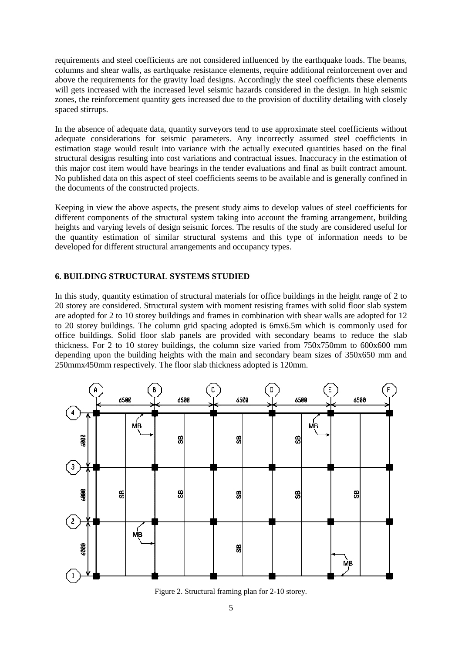requirements and steel coefficients are not considered influenced by the earthquake loads. The beams, columns and shear walls, as earthquake resistance elements, require additional reinforcement over and above the requirements for the gravity load designs. Accordingly the steel coefficients these elements will gets increased with the increased level seismic hazards considered in the design. In high seismic zones, the reinforcement quantity gets increased due to the provision of ductility detailing with closely spaced stirrups.

In the absence of adequate data, quantity surveyors tend to use approximate steel coefficients without adequate considerations for seismic parameters. Any incorrectly assumed steel coefficients in estimation stage would result into variance with the actually executed quantities based on the final structural designs resulting into cost variations and contractual issues. Inaccuracy in the estimation of this major cost item would have bearings in the tender evaluations and final as built contract amount. No published data on this aspect of steel coefficients seems to be available and is generally confined in the documents of the constructed projects.

Keeping in view the above aspects, the present study aims to develop values of steel coefficients for different components of the structural system taking into account the framing arrangement, building heights and varying levels of design seismic forces. The results of the study are considered useful for the quantity estimation of similar structural systems and this type of information needs to be developed for different structural arrangements and occupancy types.

## **6. BUILDING STRUCTURAL SYSTEMS STUDIED**

In this study, quantity estimation of structural materials for office buildings in the height range of 2 to 20 storey are considered. Structural system with moment resisting frames with solid floor slab system are adopted for 2 to 10 storey buildings and frames in combination with shear walls are adopted for 12 to 20 storey buildings. The column grid spacing adopted is 6mx6.5m which is commonly used for office buildings. Solid floor slab panels are provided with secondary beams to reduce the slab thickness. For 2 to 10 storey buildings, the column size varied from 750x750mm to 600x600 mm depending upon the building heights with the main and secondary beam sizes of 350x650 mm and 250mmx450mm respectively. The floor slab thickness adopted is 120mm.



Figure 2. Structural framing plan for 2-10 storey.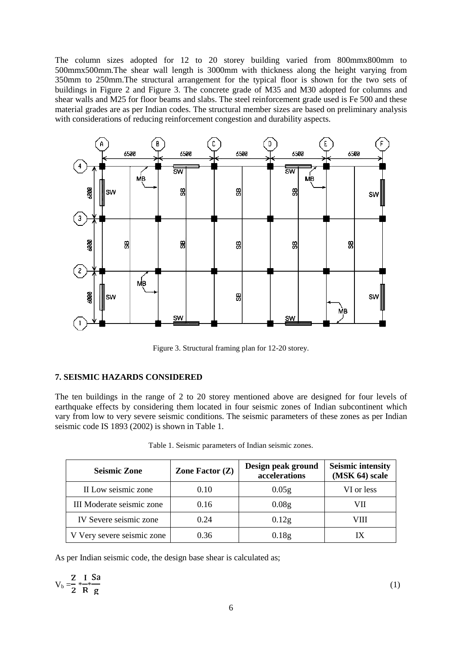The column sizes adopted for 12 to 20 storey building varied from 800mmx800mm to 500mmx500mm.The shear wall length is 3000mm with thickness along the height varying from 350mm to 250mm.The structural arrangement for the typical floor is shown for the two sets of buildings in Figure 2 and Figure 3. The concrete grade of M35 and M30 adopted for columns and shear walls and M25 for floor beams and slabs. The steel reinforcement grade used is Fe 500 and these material grades are as per Indian codes. The structural member sizes are based on preliminary analysis with considerations of reducing reinforcement congestion and durability aspects.



Figure 3. Structural framing plan for 12-20 storey.

#### **7. SEISMIC HAZARDS CONSIDERED**

The ten buildings in the range of 2 to 20 storey mentioned above are designed for four levels of earthquake effects by considering them located in four seismic zones of Indian subcontinent which vary from low to very severe seismic conditions. The seismic parameters of these zones as per Indian seismic code IS 1893 (2002) is shown in Table 1.

| <b>Seismic Zone</b>        | Zone Factor $(Z)$ | Design peak ground<br>accelerations | <b>Seismic intensity</b><br>(MSK 64) scale |  |  |
|----------------------------|-------------------|-------------------------------------|--------------------------------------------|--|--|
| II Low seismic zone        | 0.10              | 0.05 <sub>g</sub>                   | VI or less                                 |  |  |
| III Moderate seismic zone  | 0.16              | 0.08 <sub>g</sub>                   | VII                                        |  |  |
| IV Severe seismic zone     | 0.24              | 0.12g                               | VIII                                       |  |  |
| V Very severe seismic zone | 0.36              | 0.18 <sub>g</sub>                   |                                            |  |  |

Table 1. Seismic parameters of Indian seismic zones.

As per Indian seismic code, the design base shear is calculated as;

$$
V_b = \frac{Z}{2} * \frac{I}{R} \frac{Sa}{g}
$$
 (1)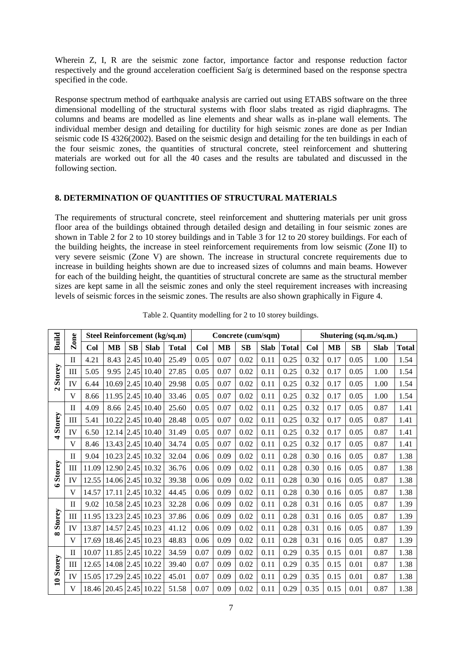Wherein Z, I, R are the seismic zone factor, importance factor and response reduction factor respectively and the ground acceleration coefficient Sa/g is determined based on the response spectra specified in the code.

Response spectrum method of earthquake analysis are carried out using ETABS software on the three dimensional modelling of the structural systems with floor slabs treated as rigid diaphragms. The columns and beams are modelled as line elements and shear walls as in-plane wall elements. The individual member design and detailing for ductility for high seismic zones are done as per Indian seismic code IS 4326(2002). Based on the seismic design and detailing for the ten buildings in each of the four seismic zones, the quantities of structural concrete, steel reinforcement and shuttering materials are worked out for all the 40 cases and the results are tabulated and discussed in the following section.

#### **8. DETERMINATION OF QUANTITIES OF STRUCTURAL MATERIALS**

The requirements of structural concrete, steel reinforcement and shuttering materials per unit gross floor area of the buildings obtained through detailed design and detailing in four seismic zones are shown in Table 2 for 2 to 10 storey buildings and in Table 3 for 12 to 20 storey buildings. For each of the building heights, the increase in steel reinforcement requirements from low seismic (Zone II) to very severe seismic (Zone V) are shown. The increase in structural concrete requirements due to increase in building heights shown are due to increased sizes of columns and main beams. However for each of the building height, the quantities of structural concrete are same as the structural member sizes are kept same in all the seismic zones and only the steel requirement increases with increasing levels of seismic forces in the seismic zones. The results are also shown graphically in Figure 4.

| Build          | Zone         |       |                        |                        |                  | Steel Reinforcement (kg/sq.m) |      | Concrete (cum/sqm) |      |             |              | Shutering (sq.m./sq.m.) |           |      |             |              |
|----------------|--------------|-------|------------------------|------------------------|------------------|-------------------------------|------|--------------------|------|-------------|--------------|-------------------------|-----------|------|-------------|--------------|
|                |              | Col   | <b>MB</b>              | $\mathbf{S}\mathbf{B}$ | <b>Slab</b>      | <b>Total</b>                  | Col  | <b>MB</b>          | SB   | <b>Slab</b> | <b>Total</b> | Col                     | <b>MB</b> | SB   | <b>Slab</b> | <b>Total</b> |
|                | $\mathbf{I}$ | 4.21  | 8.43                   | 2.45                   | 10.40            | 25.49                         | 0.05 | 0.07               | 0.02 | 0.11        | 0.25         | 0.32                    | 0.17      | 0.05 | 1.00        | 1.54         |
| Storey         | III          | 5.05  | 9.95                   | 2.45                   | 10.40            | 27.85                         | 0.05 | 0.07               | 0.02 | 0.11        | 0.25         | 0.32                    | 0.17      | 0.05 | 1.00        | 1.54         |
| $\mathbf{a}$   | IV           | 6.44  | 10.69                  | 2.45                   | 10.40            | 29.98                         | 0.05 | 0.07               | 0.02 | 0.11        | 0.25         | 0.32                    | 0.17      | 0.05 | 1.00        | 1.54         |
|                | $\mathbf{V}$ | 8.66  | 11.95                  | 2.45                   | 10.40            | 33.46                         | 0.05 | 0.07               | 0.02 | 0.11        | 0.25         | 0.32                    | 0.17      | 0.05 | 1.00        | 1.54         |
|                | $\mathbf{I}$ | 4.09  | 8.66                   | 2.45                   | 10.40            | 25.60                         | 0.05 | 0.07               | 0.02 | 0.11        | 0.25         | 0.32                    | 0.17      | 0.05 | 0.87        | 1.41         |
| Storey         | III          | 5.41  | 10.22                  | 2.45                   | 10.40            | 28.48                         | 0.05 | 0.07               | 0.02 | 0.11        | 0.25         | 0.32                    | 0.17      | 0.05 | 0.87        | 1.41         |
| $\overline{a}$ | IV           | 6.50  | $12.14$ 2.45           |                        | 10.40            | 31.49                         | 0.05 | 0.07               | 0.02 | 0.11        | 0.25         | 0.32                    | 0.17      | 0.05 | 0.87        | 1.41         |
|                | $\mathbf{V}$ | 8.46  | 13.43                  | 2.45                   | 10.40            | 34.74                         | 0.05 | 0.07               | 0.02 | 0.11        | 0.25         | 0.32                    | 0.17      | 0.05 | 0.87        | 1.41         |
|                | $\mathbf{I}$ | 9.04  | 10.23                  | 2.45                   | 10.32            | 32.04                         | 0.06 | 0.09               | 0.02 | 0.11        | 0.28         | 0.30                    | 0.16      | 0.05 | 0.87        | 1.38         |
| Storey         | Ш            | 11.09 |                        |                        | 12.90 2.45 10.32 | 36.76                         | 0.06 | 0.09               | 0.02 | 0.11        | 0.28         | 0.30                    | 0.16      | 0.05 | 0.87        | 1.38         |
| $\bullet$      | IV           | 12.55 | 14.06                  | 2.45                   | 10.32            | 39.38                         | 0.06 | 0.09               | 0.02 | 0.11        | 0.28         | 0.30                    | 0.16      | 0.05 | 0.87        | 1.38         |
|                | V            | 14.57 | 17.11                  | 2.45                   | 10.32            | 44.45                         | 0.06 | 0.09               | 0.02 | 0.11        | 0.28         | 0.30                    | 0.16      | 0.05 | 0.87        | 1.38         |
|                | $\mathbf{I}$ | 9.02  | 10.58 2.45             |                        | 10.23            | 32.28                         | 0.06 | 0.09               | 0.02 | 0.11        | 0.28         | 0.31                    | 0.16      | 0.05 | 0.87        | 1.39         |
| Storey         | Ш            | 11.95 | 13.23                  | 2.45                   | 10.23            | 37.86                         | 0.06 | 0.09               | 0.02 | 0.11        | 0.28         | 0.31                    | 0.16      | 0.05 | 0.87        | 1.39         |
| $\infty$       | IV           | 13.87 | 14.57                  | 2.45                   | 10.23            | 41.12                         | 0.06 | 0.09               | 0.02 | 0.11        | 0.28         | 0.31                    | 0.16      | 0.05 | 0.87        | 1.39         |
|                | V            | 17.69 | 18.46                  | 2.45                   | 10.23            | 48.83                         | 0.06 | 0.09               | 0.02 | 0.11        | 0.28         | 0.31                    | 0.16      | 0.05 | 0.87        | 1.39         |
|                | $\mathbf{I}$ | 10.07 |                        |                        | 11.85 2.45 10.22 | 34.59                         | 0.07 | 0.09               | 0.02 | 0.11        | 0.29         | 0.35                    | 0.15      | 0.01 | 0.87        | 1.38         |
| 10 Storey      | Ш            | 12.65 | 14.08                  | 2.45                   | 10.22            | 39.40                         | 0.07 | 0.09               | 0.02 | 0.11        | 0.29         | 0.35                    | 0.15      | 0.01 | 0.87        | 1.38         |
|                | IV           | 15.05 | 17.29                  | 2.45                   | 10.22            | 45.01                         | 0.07 | 0.09               | 0.02 | 0.11        | 0.29         | 0.35                    | 0.15      | 0.01 | 0.87        | 1.38         |
|                | $\mathbf{V}$ |       | 18.46 20.45 2.45 10.22 |                        |                  | 51.58                         | 0.07 | 0.09               | 0.02 | 0.11        | 0.29         | 0.35                    | 0.15      | 0.01 | 0.87        | 1.38         |

Table 2. Quantity modelling for 2 to 10 storey buildings.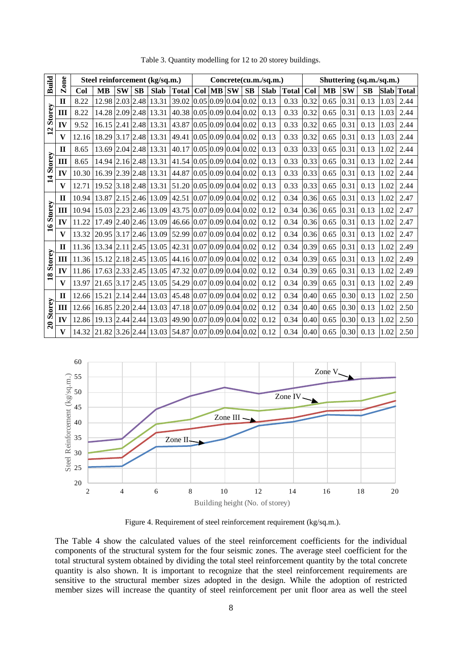| <b>Build</b>            | Zone         | Steel reinforcement (kg/sq.m.) |           |           |           |                                           |                                   |     |           |                                           |           | Concrete(cu.m./sq.m.) |              | Shuttering (sq.m./sq.m.) |           |           |      |      |              |
|-------------------------|--------------|--------------------------------|-----------|-----------|-----------|-------------------------------------------|-----------------------------------|-----|-----------|-------------------------------------------|-----------|-----------------------|--------------|--------------------------|-----------|-----------|------|------|--------------|
|                         |              | Col                            | <b>MB</b> | <b>SW</b> | <b>SB</b> | <b>Slab</b>                               | <b>Total</b>                      | Col | <b>MB</b> | <b>SW</b>                                 | <b>SB</b> | <b>Slab</b>           | <b>Total</b> | Col                      | <b>MB</b> | <b>SW</b> | SB   | Slab | <b>Total</b> |
|                         | $\mathbf H$  | 8.22                           | 12.98     |           |           | $\vert 2.03 \vert 2.48 \vert 13.31 \vert$ | 39.02 0.05 0.09 0.04              |     |           |                                           | 0.02      | 0.13                  | 0.33         | 0.32                     | 0.65      | 0.31      | 0.13 | 1.03 | 2.44         |
| Storey                  | Ш            | 8.22                           | 14.28     |           |           | $2.09$ 2.48 13.31                         | 40.38 0.05 0.09 0.04 0.02         |     |           |                                           |           | 0.13                  | 0.33         | 0.32                     | 0.65      | 0.31      | 0.13 | 1.03 | 2.44         |
| $\overline{12}$         | IV           | 9.52                           | 16.15     |           |           | 2.41 2.48 13.31                           | 43.87                             |     |           | $0.05 \,   0.09 \,   0.04 \,   0.02 \,  $ |           | 0.13                  | 0.33         | 0.32                     | 0.65      | 0.31      | 0.13 | 1.03 | 2.44         |
|                         | $\mathbf{V}$ | 12.16                          | 18.29     |           |           | $3.17$ 2.48 13.31                         | 49.41 0.05 0.09 0.04 0.02         |     |           |                                           |           | 0.13                  | 0.33         | 0.32                     | 0.65      | 0.31      | 0.13 | 1.03 | 2.44         |
|                         | $\mathbf{H}$ | 8.65                           | 13.69     |           |           | $2.04$ 2.48 13.31                         | 40.17 0.05 0.09 0.04 0.02         |     |           |                                           |           | 0.13                  | 0.33         | 0.33                     | 0.65      | 0.31      | 0.13 | 1.02 | 2.44         |
| Storey                  | Ш            | 8.65                           | 14.94     |           |           | $2.16$ 2.48 13.31                         | 41.54 0.05 0.09 0.04 0.02         |     |           |                                           |           | 0.13                  | 0.33         | 0.33                     | 0.65      | 0.31      | 0.13 | 1.02 | 2.44         |
| $\overline{\mathbf{1}}$ | IV           | 10.30                          | 16.39     |           |           | 2.39 2.48 13.31                           | 44.87 0.05 0.09 0.04 0.02         |     |           |                                           |           | 0.13                  | 0.33         | 0.33                     | 0.65      | 0.31      | 0.13 | 1.02 | 2.44         |
|                         | $\mathbf{V}$ | 12.71                          | 19.52     |           |           | $3.18$ 2.48 13.31                         | 51.20   0.05   0.09   0.04   0.02 |     |           |                                           |           | 0.13                  | 0.33         | 0.33                     | 0.65      | 0.31      | 0.13 | 1.02 | 2.44         |
|                         | $\mathbf{I}$ | 10.94                          | 13.87     |           |           | $2.15$ 2.46 13.09                         | 42.51 0.07 0.09 0.04 0.02         |     |           |                                           |           | 0.12                  | 0.34         | 0.36                     | 0.65      | 0.31      | 0.13 | 1.02 | 2.47         |
| Storey                  | Ш            | 10.94                          | 15.03     |           |           | 2.23 2.46 13.09                           | 43.75 0.07 0.09 0.04 0.02         |     |           |                                           |           | 0.12                  | 0.34         | 0.36                     | 0.65      | 0.31      | 0.13 | 1.02 | 2.47         |
| $\mathbf{a}$            | IV           | 11.22                          | 17.49     |           |           | $2.40$ $2.46$ 13.09                       | 46.66 0.07 0.09 0.04 0.02         |     |           |                                           |           | 0.12                  | 0.34         | 0.36                     | 0.65      | 0.31      | 0.13 | 1.02 | 2.47         |
|                         | $\mathbf{V}$ | 13.32                          | 20.95     |           |           | $3.17$ 2.46 13.09                         | 52.99 0.07 0.09 0.04 0.02         |     |           |                                           |           | 0.12                  | 0.34         | 0.36                     | 0.65      | 0.31      | 0.13 | 1.02 | 2.47         |
|                         | $\mathbf{I}$ | 11.36                          | 13.34     |           |           | $2.11$   $2.45$   $13.05$                 | 42.31 0.07 0.09 0.04 0.02         |     |           |                                           |           | 0.12                  | 0.34         | 0.39                     | 0.65      | 0.31      | 0.13 | 1.02 | 2.49         |
| Storey                  | Ш            | 11.36                          | 15.12     |           |           | $\vert 2.18 \vert 2.45 \vert 13.05 \vert$ | 44.16 0.07 0.09 0.04 0.02         |     |           |                                           |           | 0.12                  | 0.34         | 0.39                     | 0.65      | 0.31      | 0.13 | 1.02 | 2.49         |
| $\overline{18}$         | IV           | 11.86                          | 17.63     |           |           | $2.33$ $2.45$ 13.05                       | 47.32 0.07 0.09 0.04 0.02         |     |           |                                           |           | 0.12                  | 0.34         | 0.39                     | 0.65      | 0.31      | 0.13 | 1.02 | 2.49         |
|                         | $\mathbf{V}$ | 13.97                          | 21.65     |           |           | $3.17$ $2.45$ 13.05                       | 54.29 0.07 0.09 0.04 0.02         |     |           |                                           |           | 0.12                  | 0.34         | 0.39                     | 0.65      | 0.31      | 0.13 | 1.02 | 2.49         |
|                         | $\mathbf{I}$ | 12.66                          | 15.21     |           |           | $2.14$ 2.44 13.03                         | 45.48 0.07 0.09 0.04 0.02         |     |           |                                           |           | 0.12                  | 0.34         | 0.40                     | 0.65      | 0.30      | 0.13 | 1.02 | 2.50         |
| Storey                  | Ш            | 12.66                          | 16.85     |           |           | $\left  2.20 \right  2.44 \right  13.03$  | 47.18 0.07 0.09 0.04 0.02         |     |           |                                           |           | 0.12                  | 0.34         | 0.40                     | 0.65      | 0.30      | 0.13 | 1.02 | 2.50         |
| $\overline{20}$         | IV           | 12.86                          | 19.13     |           |           | $2.44$ $2.44$ 13.03                       | 49.90 0.07 0.09 0.04 0.02         |     |           |                                           |           | 0.12                  | 0.34         | 0.40                     | 0.65      | 0.30      | 0.13 | 1.02 | 2.50         |
|                         | $\mathbf{V}$ | 14.32                          | 21.82     |           |           | $3.26$ 2.44 13.03                         | $54.87$ 0.07 0.09 0.04 0.02       |     |           |                                           |           | 0.12                  | 0.34         | 0.40                     | 0.65      | 0.30      | 0.13 | 1.02 | 2.50         |

Table 3. Quantity modelling for 12 to 20 storey buildings.



Figure 4. Requirement of steel reinforcement requirement (kg/sq.m.).

The Table 4 show the calculated values of the steel reinforcement coefficients for the individual components of the structural system for the four seismic zones. The average steel coefficient for the total structural system obtained by dividing the total steel reinforcement quantity by the total concrete quantity is also shown. It is important to recognize that the steel reinforcement requirements are sensitive to the structural member sizes adopted in the design. While the adoption of restricted member sizes will increase the quantity of steel reinforcement per unit floor area as well the steel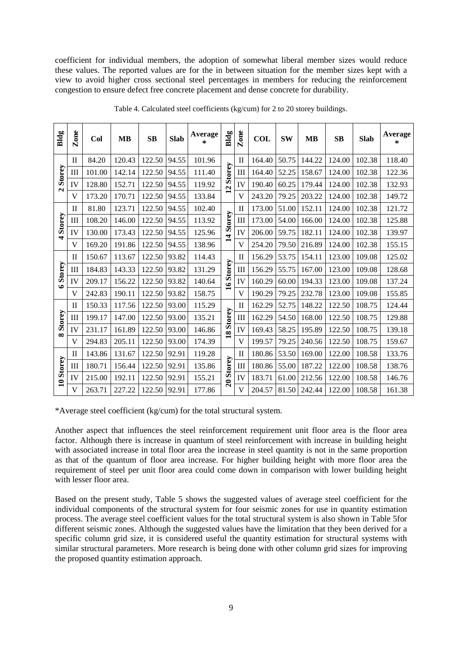coefficient for individual members, the adoption of somewhat liberal member sizes would reduce these values. The reported values are for the in between situation for the member sizes kept with a view to avoid higher cross sectional steel percentages in members for reducing the reinforcement congestion to ensure defect free concrete placement and dense concrete for durability.

| Bldg           | Zone         | Col    | MB     | <b>SB</b> | <b>Slab</b> | Average<br>$\ast$ | Bldg            | Zone         | COL    | <b>SW</b> | <b>MB</b> | <b>SB</b> | <b>Slab</b> | Average<br>* |
|----------------|--------------|--------|--------|-----------|-------------|-------------------|-----------------|--------------|--------|-----------|-----------|-----------|-------------|--------------|
|                | $\mathbf{I}$ | 84.20  | 120.43 | 122.50    | 94.55       | 101.96            |                 | $\rm II$     | 164.40 | 50.75     | 144.22    | 124.00    | 102.38      | 118.40       |
| Storey         | III          | 101.00 | 142.14 | 122.50    | 94.55       | 111.40            | Storey          | Ш            | 164.40 | 52.25     | 158.67    | 124.00    | 102.38      | 122.36       |
| $\mathbf{N}$   | IV           | 128.80 | 152.71 | 122.50    | 94.55       | 119.92            | $\overline{12}$ | IV           | 190.40 | 60.25     | 179.44    | 124.00    | 102.38      | 132.93       |
|                | V            | 173.20 | 170.71 | 122.50    | 94.55       | 133.84            |                 | V            | 243.20 | 79.25     | 203.22    | 124.00    | 102.38      | 149.72       |
|                | $\mathbf{I}$ | 81.80  | 123.71 | 122.50    | 94.55       | 102.40            |                 | $_{\rm II}$  | 173.00 | 51.00     | 152.11    | 124.00    | 102.38      | 121.72       |
| Storey         | Ш            | 108.20 | 146.00 | 122.50    | 94.55       | 113.92            | 14 Storey       | Ш            | 173.00 | 54.00     | 166.00    | 124.00    | 102.38      | 125.88       |
| $\overline{a}$ | IV           | 130.00 | 173.43 | 122.50    | 94.55       | 125.96            |                 | IV           | 206.00 | 59.75     | 182.11    | 124.00    | 102.38      | 139.97       |
|                | V            | 169.20 | 191.86 | 122.50    | 94.55       | 138.96            |                 | V            | 254.20 | 79.50     | 216.89    | 124.00    | 102.38      | 155.15       |
|                | $\mathbf{I}$ | 150.67 | 113.67 | 122.50    | 93.82       | 114.43            | 16 Storey       | П            | 156.29 | 53.75     | 154.11    | 123.00    | 109.08      | 125.02       |
| Storey         | III          | 184.83 | 143.33 | 122.50    | 93.82       | 131.29            |                 | Ш            | 156.29 | 55.75     | 167.00    | 123.00    | 109.08      | 128.68       |
| $\bullet$      | IV           | 209.17 | 156.22 | 122.50    | 93.82       | 140.64            |                 | IV           | 160.29 | 60.00     | 194.33    | 123.00    | 109.08      | 137.24       |
|                | V            | 242.83 | 190.11 | 122.50    | 93.82       | 158.75            |                 | V            | 190.29 | 79.25     | 232.78    | 123.00    | 109.08      | 155.85       |
|                | $\mathbf{I}$ | 150.33 | 117.56 | 122.50    | 93.00       | 115.29            |                 | $_{\rm II}$  | 162.29 | 52.75     | 148.22    | 122.50    | 108.75      | 124.44       |
| Storey         | III          | 199.17 | 147.00 | 122.50    | 93.00       | 135.21            | 18 Storey       | Ш            | 162.29 | 54.50     | 168.00    | 122.50    | 108.75      | 129.88       |
| $\infty$       | IV           | 231.17 | 161.89 | 122.50    | 93.00       | 146.86            |                 | IV           | 169.43 | 58.25     | 195.89    | 122.50    | 108.75      | 139.18       |
|                | V            | 294.83 | 205.11 | 122.50    | 93.00       | 174.39            |                 | V            | 199.57 | 79.25     | 240.56    | 122.50    | 108.75      | 159.67       |
|                | $\mathbf{I}$ | 143.86 | 131.67 | 122.50    | 92.91       | 119.28            |                 | $\mathbf{I}$ | 180.86 | 53.50     | 169.00    | 122.00    | 108.58      | 133.76       |
| 10 Storey      | III          | 180.71 | 156.44 | 122.50    | 92.91       | 135.86            | 20 Storey       | Ш            | 180.86 | 55.00     | 187.22    | 122.00    | 108.58      | 138.76       |
|                | IV           | 215.00 | 192.11 | 122.50    | 92.91       | 155.21            |                 | IV           | 183.71 | 61.00     | 212.56    | 122.00    | 108.58      | 146.76       |
|                | V            | 263.71 | 227.22 | 122.50    | 92.91       | 177.86            |                 | V            | 204.57 | 81.50     | 242.44    | 122.00    | 108.58      | 161.38       |

Table 4. Calculated steel coefficients (kg/cum) for 2 to 20 storey buildings.

\*Average steel coefficient (kg/cum) for the total structural system.

Another aspect that influences the steel reinforcement requirement unit floor area is the floor area factor. Although there is increase in quantum of steel reinforcement with increase in building height with associated increase in total floor area the increase in steel quantity is not in the same proportion as that of the quantum of floor area increase. For higher building height with more floor area the requirement of steel per unit floor area could come down in comparison with lower building height with lesser floor area.

Based on the present study, Table 5 shows the suggested values of average steel coefficient for the individual components of the structural system for four seismic zones for use in quantity estimation process. The average steel coefficient values for the total structural system is also shown in Table 5for different seismic zones. Although the suggested values have the limitation that they been derived for a specific column grid size, it is considered useful the quantity estimation for structural systems with similar structural parameters. More research is being done with other column grid sizes for improving the proposed quantity estimation approach.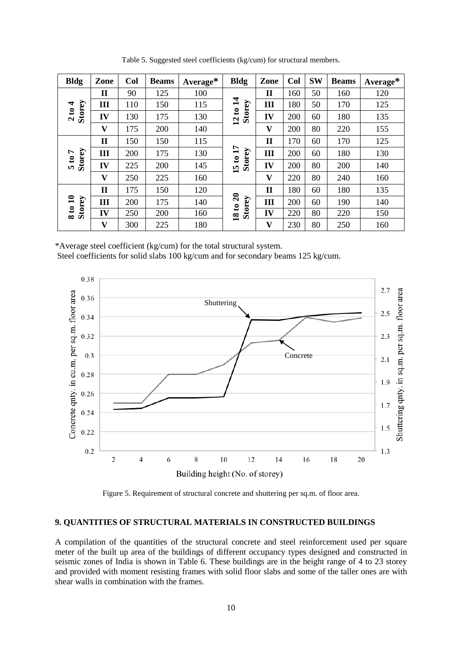| <b>Bldg</b>                                           | Zone | Col | <b>Beams</b> | Average* | <b>Bldg</b>                                       | Zone         | Col | <b>SW</b> | <b>Beams</b> | Average* |
|-------------------------------------------------------|------|-----|--------------|----------|---------------------------------------------------|--------------|-----|-----------|--------------|----------|
|                                                       | П    | 90  | 125          | 100      |                                                   | $\mathbf H$  | 160 | 50        | 160          | 120      |
| 4                                                     | III  | 110 | 150          | 115      | $\mathbf{1}$                                      | Ш            | 180 | 50        | 170          | 125      |
| Storey<br>$\boldsymbol{\mathfrak{s}}$<br>$\mathbf{z}$ | IV   | 130 | 175          | 130      | Storey<br>$\mathbf{c}$<br>$\overline{12}$         | IV           | 200 | 60        | 180          | 135      |
|                                                       | V    | 175 | 200          | 140      |                                                   | V            | 200 | 80        | 220          | 155      |
|                                                       | П    | 150 | 150          | 115      |                                                   | $\mathbf I$  | 170 | 60        | 170          | 125      |
| L<br>$\mathbf{e}$                                     | III  | 200 | 175          | 130      | $\mathbf{1}$                                      | III          | 200 | 60        | 180          | 130      |
| Storey<br>LΩ.                                         | IV   | 225 | 200          | 145      | Storey<br>$\mathbf{c}$<br>15                      | IV           | 200 | 80        | 200          | 140      |
|                                                       | V    | 250 | 225          | 160      |                                                   | V            | 220 | 80        | 240          | 160      |
|                                                       | П    | 175 | 150          | 120      |                                                   | $\mathbf{I}$ | 180 | 60        | 180          | 135      |
| Storey<br>$\mathbf{a}$                                | III  | 200 | 175          | 140      | $\overline{\mathbf{c}}$<br>Storey<br>$\mathbf{c}$ | Ш            | 200 | 60        | 190          | 140      |
| $\mathbf{c}$<br>$\infty$                              | IV   | 250 | 200          | 160      | $\overline{\mathbf{18}}$                          | IV           | 220 | 80        | 220          | 150      |
|                                                       | V    | 300 | 225          | 180      |                                                   | V            | 230 | 80        | 250          | 160      |

Table 5. Suggested steel coefficients (kg/cum) for structural members.

\*Average steel coefficient (kg/cum) for the total structural system. Steel coefficients for solid slabs 100 kg/cum and for secondary beams 125 kg/cum.



Figure 5. Requirement of structural concrete and shuttering per sq.m. of floor area.

## **9. QUANTITIES OF STRUCTURAL MATERIALS IN CONSTRUCTED BUILDINGS**

A compilation of the quantities of the structural concrete and steel reinforcement used per square meter of the built up area of the buildings of different occupancy types designed and constructed in seismic zones of India is shown in Table 6. These buildings are in the height range of 4 to 23 storey and provided with moment resisting frames with solid floor slabs and some of the taller ones are with shear walls in combination with the frames.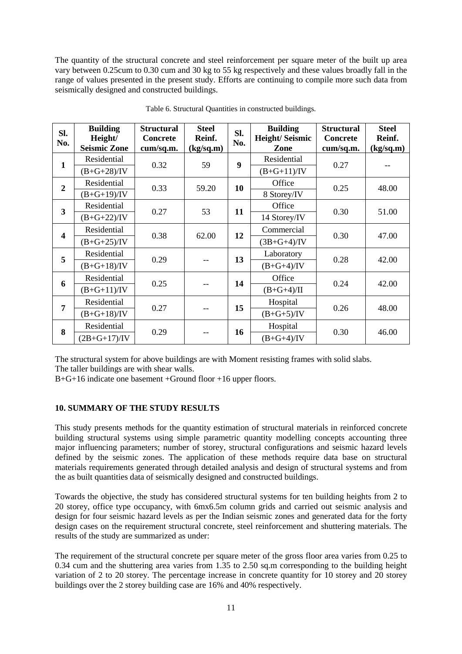The quantity of the structural concrete and steel reinforcement per square meter of the built up area vary between 0.25cum to 0.30 cum and 30 kg to 55 kg respectively and these values broadly fall in the range of values presented in the present study. Efforts are continuing to compile more such data from seismically designed and constructed buildings.

| SI.<br>No.              | <b>Building</b><br>Height/<br><b>Seismic Zone</b> | <b>Structural</b><br><b>Concrete</b><br>cum/sq.m. | <b>Steel</b><br>Reinf.<br>(kg/sq.m) | SI.<br>No.       | <b>Building</b><br>Height/Seismic<br>Zone | <b>Structural</b><br><b>Concrete</b><br>cum/sq.m. | <b>Steel</b><br>Reinf.<br>(kg/sq.m) |  |
|-------------------------|---------------------------------------------------|---------------------------------------------------|-------------------------------------|------------------|-------------------------------------------|---------------------------------------------------|-------------------------------------|--|
|                         | Residential                                       |                                                   |                                     | $\boldsymbol{9}$ | Residential                               |                                                   |                                     |  |
| $\mathbf{1}$            | $(B+G+28)/IV$                                     | 0.32                                              | 59                                  |                  | $(B+G+11)/IV$                             | 0.27                                              |                                     |  |
| $\overline{2}$          | Residential                                       | 0.33                                              | 59.20                               | 10               | Office                                    | 0.25                                              | 48.00                               |  |
|                         | $(B+G+19)/IV$                                     |                                                   |                                     |                  | 8 Storey/IV                               |                                                   |                                     |  |
| $\overline{\mathbf{3}}$ | Residential                                       | 0.27                                              | 53                                  | 11               | Office                                    | 0.30                                              | 51.00                               |  |
|                         | $(B+G+22)/IV$                                     |                                                   |                                     |                  | 14 Storey/IV                              |                                                   |                                     |  |
| $\overline{\mathbf{4}}$ | Residential                                       | 0.38                                              | 62.00                               | 12               | Commercial                                | 0.30                                              | 47.00                               |  |
|                         | $(B+G+25)/IV$                                     |                                                   |                                     |                  | $(3B + G + 4)/IV$                         |                                                   |                                     |  |
| 5                       | Residential                                       | 0.29                                              |                                     | 13               | Laboratory                                | 0.28                                              | 42.00                               |  |
|                         | $(B+G+18)/IV$                                     |                                                   |                                     |                  | $(B+G+4)/IV$                              |                                                   |                                     |  |
| 6                       | Residential                                       | 0.25                                              |                                     |                  | Office                                    |                                                   | 42.00                               |  |
|                         | $(B+G+11)/IV$                                     |                                                   |                                     | 14               | $(B+G+4)/II$                              | 0.24                                              |                                     |  |
| 7                       | Residential                                       |                                                   |                                     |                  | Hospital                                  |                                                   |                                     |  |
|                         | $(B+G+18)/IV$                                     | 0.27                                              |                                     | 15               | $(B+G+5)/IV$                              | 0.26                                              | 48.00                               |  |
| 8                       | Residential                                       |                                                   |                                     |                  | Hospital                                  |                                                   |                                     |  |
|                         | $(2B + G + 17)/IV$                                | 0.29                                              |                                     | 16               | $(B+G+4)/IV$                              | 0.30                                              | 46.00                               |  |

Table 6. Structural Quantities in constructed buildings.

The structural system for above buildings are with Moment resisting frames with solid slabs.

The taller buildings are with shear walls.

B+G+16 indicate one basement +Ground floor +16 upper floors.

# **10. SUMMARY OF THE STUDY RESULTS**

This study presents methods for the quantity estimation of structural materials in reinforced concrete building structural systems using simple parametric quantity modelling concepts accounting three major influencing parameters; number of storey, structural configurations and seismic hazard levels defined by the seismic zones. The application of these methods require data base on structural materials requirements generated through detailed analysis and design of structural systems and from the as built quantities data of seismically designed and constructed buildings.

Towards the objective, the study has considered structural systems for ten building heights from 2 to 20 storey, office type occupancy, with 6mx6.5m column grids and carried out seismic analysis and design for four seismic hazard levels as per the Indian seismic zones and generated data for the forty design cases on the requirement structural concrete, steel reinforcement and shuttering materials. The results of the study are summarized as under:

The requirement of the structural concrete per square meter of the gross floor area varies from 0.25 to 0.34 cum and the shuttering area varies from 1.35 to 2.50 sq.m corresponding to the building height variation of 2 to 20 storey. The percentage increase in concrete quantity for 10 storey and 20 storey buildings over the 2 storey building case are 16% and 40% respectively.